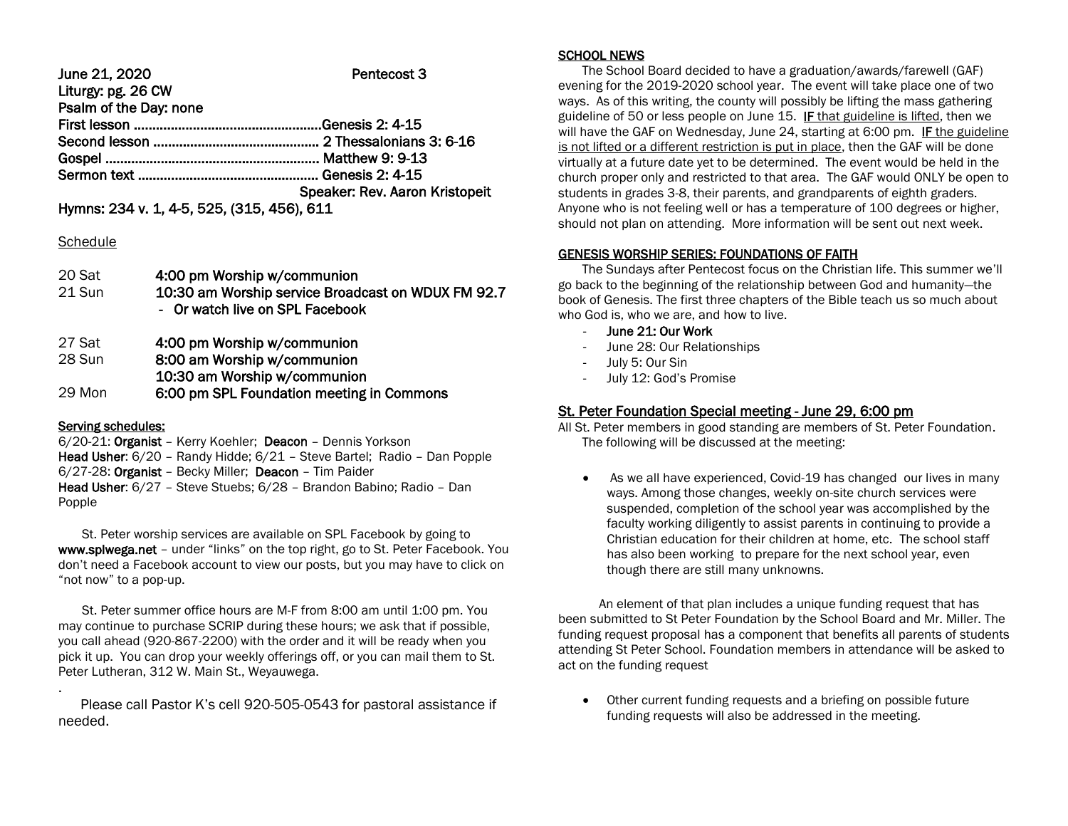June 21, 2020 Pentecost 3 Liturgy: pg. 26 CW Psalm of the Day: none First lesson ……………………………………………Genesis 2: 4-15 Second lesson ……………………………………… 2 Thessalonians 3: 6-16 Gospel ………………………..……………………….. Matthew 9: 9-13 Sermon text …………………………………………. Genesis 2: 4-15 Speaker: Rev. Aaron Kristopeit Hymns: 234 v. 1, 4-5, 525, (315, 456), 611

#### **Schedule**

| 20 Sat | 4:00 pm Worship w/communion                        |
|--------|----------------------------------------------------|
| 21 Sun | 10:30 am Worship service Broadcast on WDUX FM 92.7 |
|        | - Or watch live on SPL Facebook                    |
|        |                                                    |

| 27 Sat | 4:00 pm Worship w/communion |  |
|--------|-----------------------------|--|
|--------|-----------------------------|--|

| 28 Sun | 8:00 am Worship w/communion               |
|--------|-------------------------------------------|
|        | 10:30 am Worship w/communion              |
| 29 Mon | 6:00 pm SPL Foundation meeting in Commons |

#### Serving schedules:

6/20-21: Organist – Kerry Koehler; Deacon – Dennis Yorkson Head Usher: 6/20 – Randy Hidde; 6/21 – Steve Bartel; Radio – Dan Popple 6/27-28: Organist – Becky Miller; Deacon – Tim Paider Head Usher: 6/27 – Steve Stuebs; 6/28 – Brandon Babino; Radio – Dan Popple

 St. Peter worship services are available on SPL Facebook by going to www.splwega.net – under "links" on the top right, go to St. Peter Facebook. You don't need a Facebook account to view our posts, but you may have to click on "not now" to a pop-up.

 St. Peter summer office hours are M-F from 8:00 am until 1:00 pm. You may continue to purchase SCRIP during these hours; we ask that if possible, you call ahead (920-867-2200) with the order and it will be ready when you pick it up. You can drop your weekly offerings off, or you can mail them to St. Peter Lutheran, 312 W. Main St., Weyauwega. .

 Please call Pastor K's cell 920-505-0543 for pastoral assistance if needed.

### SCHOOL NEWS

 The School Board decided to have a graduation/awards/farewell (GAF) evening for the 2019-2020 school year. The event will take place one of two ways. As of this writing, the county will possibly be lifting the mass gathering guideline of 50 or less people on June 15. **IF** that guideline is lifted, then we will have the GAF on Wednesday, June 24, starting at 6:00 pm. **IF** the guideline is not lifted or a different restriction is put in place, then the GAF will be done virtually at a future date yet to be determined. The event would be held in the church proper only and restricted to that area. The GAF would ONLY be open to students in grades 3-8, their parents, and grandparents of eighth graders. Anyone who is not feeling well or has a temperature of 100 degrees or higher, should not plan on attending. More information will be sent out next week.

#### GENESIS WORSHIP SERIES: FOUNDATIONS OF FAITH

 The Sundays after Pentecost focus on the Christian life. This summer we'll go back to the beginning of the relationship between God and humanity—the book of Genesis. The first three chapters of the Bible teach us so much about who God is, who we are, and how to live.

- June 21: Our Work
- June 28: Our Relationships
- July 5: Our Sin
- July 12: God's Promise

# St. Peter Foundation Special meeting - June 29, 6:00 pm

All St. Peter members in good standing are members of St. Peter Foundation. The following will be discussed at the meeting:

 As we all have experienced, Covid-19 has changed our lives in many ways. Among those changes, weekly on-site church services were suspended, completion of the school year was accomplished by the faculty working diligently to assist parents in continuing to provide a Christian education for their children at home, etc. The school staff has also been working to prepare for the next school year, even though there are still many unknowns.

 An element of that plan includes a unique funding request that has been submitted to St Peter Foundation by the School Board and Mr. Miller. The funding request proposal has a component that benefits all parents of students attending St Peter School. Foundation members in attendance will be asked to act on the funding request

 Other current funding requests and a briefing on possible future funding requests will also be addressed in the meeting.